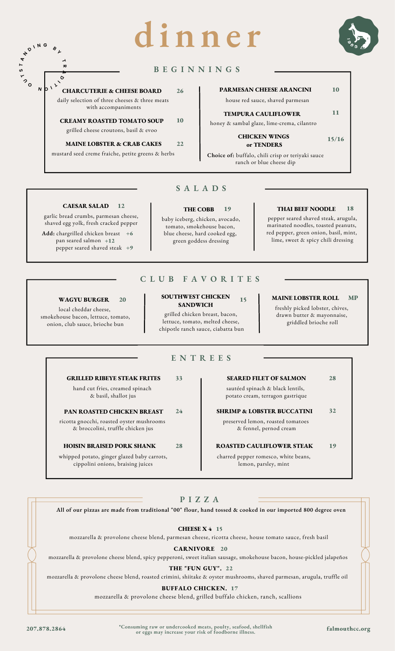# **d i n n e r**



# **B E G I N N I N G S**

**CHARCUTERIE & CHEESE BOARD 26** daily selection of three cheeses & three meats with accompaniments  $\mathbf{D} \mathbf{D} \mathbf{D} \mathbf{D}$ 

> **CREAMY ROASTED TOMATO SOUP** grilled cheese croutons, basil & evoo **10**

**MAINE LOBSTER & CRAB CAKES 22** mustard seed creme fraiche, petite greens & herbs

# **PARMESAN CHEESE ARANCINI 10**

house red sauce, shaved parmesan

**TEMPURA CAULIFLOWER 11**

honey & sambal glaze, lime-crema, cilantro

**CHICKEN WINGS or TENDERS 15/16**

**Choice of:** buffalo, chili crisp or teriyaki sauce ranch or blue cheese dip

# **CAESAR SALAD 12**

garlic bread crumbs, parmesan cheese, shaved egg yolk, fresh cracked pepper

 $^{\circ}$ 。

**T S T A**

**N**

**D <sup>I</sup> <sup>N</sup> <sup>G</sup> <sup>B</sup> <sup>Y</sup>**

 $\overline{\phantom{a}}$ **R A D**

**Add:** chargrilled chicken breast **+6** pan seared salmon **+12** pepper seared shaved steak **+9**

# **S A L A D S**

# **THE COBB**

baby iceberg, chicken, avocado, tomato, smokehouse bacon, blue cheese, hard cooked egg, green goddess dressing

## **19 THAI BEEF NOODLE 18**

pepper seared shaved steak, arugula, marinated noodles, toasted peanuts, red pepper, green onion, basil, mint, lime, sweet & spicy chili dressing

# **C L U B F A V O R I T E S**

## **WAGYU BURGER**

local cheddar cheese, smokehouse bacon, lettuce, tomato, onion, club sauce, brioche bun

#### **SOUTHWEST CHICKEN SANDWICH 15**

grilled chicken breast, bacon, lettuce, tomato, melted cheese, chipotle ranch sauce, ciabatta bun

#### **MAINE LOBSTER ROLL MP**

freshly picked lobster, chives, drawn butter & mayonnaise, griddled brioche roll

# **E N T R E E S**

# **GRILLED RIBEYE STEAK FRITES** 33

**20**

hand cut fries, creamed spinach & basil, shallot jus

## **PAN ROASTED CHICKEN BREAST 24**

ricotta gnocchi, roasted oyster mushrooms & broccolini, truffle chicken jus

whipped potato, ginger glazed baby carrots, cippolini onions, braising juices

**SEARED FILET OF SALMON** 28

sautéed spinach & black lentils, potato cream, terragon gastrique

# preserved lemon, roasted tomatoes **SHRIMP & LOBSTER BUCCATINI** 32

& fennel, pernod cream

## **HOISIN BRAISED PORK SHANK ROASTED CAULIFLOWER STEAK 28 19**

charred pepper romesco, white beans, lemon, parsley, mint

# **P I Z Z A**

All of our pizzas are made from traditional "00" flour, hand tossed & cooked in our imported 800 degree oven

**CHEESE X 4 15**

mozzarella & provolone cheese blend, parmesan cheese, ricotta cheese, house tomato sauce, fresh basil

# **CARNIVORE 20**

mozzarella & provolone cheese blend, spicy pepperoni, sweet italian sausage, smokehouse bacon, house-pickled jalapeños

# **THE "FUN GUY". 22**

mozzarella & provolone cheese blend, roasted crimini, shiitake & oyster mushrooms, shaved parmesan, arugula, truffle oil

# **BUFFALO CHICKEN. 17**

mozzarella & provolone cheese blend, grilled buffalo chicken, ranch, scallions